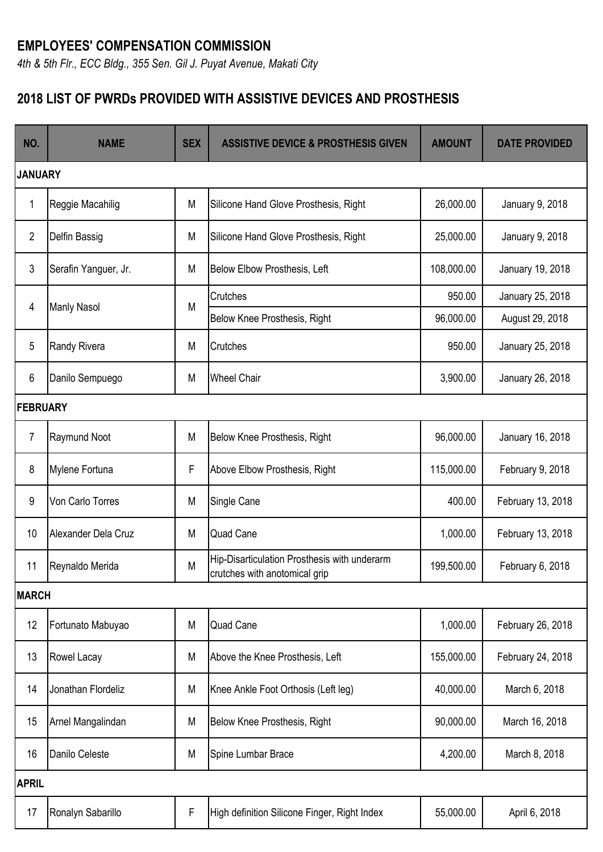## **EMPLOYEES' COMPENSATION COMMISSION**

*4th & 5th Flr., ECC Bldg., 355 Sen. Gil J. Puyat Avenue, Makati City*

## **2018 LIST OF PWRDs PROVIDED WITH ASSISTIVE DEVICES AND PROSTHESIS**

| NO.          | <b>NAME</b>          | <b>SEX</b> | <b>ASSISTIVE DEVICE &amp; PROSTHESIS GIVEN</b>                                | <b>AMOUNT</b> | <b>DATE PROVIDED</b> |  |  |
|--------------|----------------------|------------|-------------------------------------------------------------------------------|---------------|----------------------|--|--|
|              | <b>JANUARY</b>       |            |                                                                               |               |                      |  |  |
| 1            | Reggie Macahilig     | M          | Silicone Hand Glove Prosthesis, Right                                         | 26,000.00     | January 9, 2018      |  |  |
| 2            | Delfin Bassig        | M          | Silicone Hand Glove Prosthesis, Right                                         | 25,000.00     | January 9, 2018      |  |  |
| 3            | Serafin Yanguer, Jr. | M          | Below Elbow Prosthesis, Left                                                  | 108,000.00    | January 19, 2018     |  |  |
|              | <b>Manly Nasol</b>   | M          | Crutches                                                                      | 950.00        | January 25, 2018     |  |  |
| 4            |                      |            | Below Knee Prosthesis, Right                                                  | 96,000.00     | August 29, 2018      |  |  |
| 5            | Randy Rivera         | M          | Crutches                                                                      | 950.00        | January 25, 2018     |  |  |
| 6            | Danilo Sempuego      | M          | <b>Wheel Chair</b>                                                            | 3,900.00      | January 26, 2018     |  |  |
|              | <b>FEBRUARY</b>      |            |                                                                               |               |                      |  |  |
| 7            | Raymund Noot         | M          | Below Knee Prosthesis, Right                                                  | 96,000.00     | January 16, 2018     |  |  |
| 8            | Mylene Fortuna       | F          | Above Elbow Prosthesis, Right                                                 | 115,000.00    | February 9, 2018     |  |  |
| 9            | Von Carlo Torres     | M          | Single Cane                                                                   | 400.00        | February 13, 2018    |  |  |
| 10           | Alexander Dela Cruz  | M          | <b>Quad Cane</b>                                                              | 1,000.00      | February 13, 2018    |  |  |
| 11           | Reynaldo Merida      | M          | Hip-Disarticulation Prosthesis with underarm<br>crutches with anotomical grip | 199,500.00    | February 6, 2018     |  |  |
| <b>MARCH</b> |                      |            |                                                                               |               |                      |  |  |
| 12           | Fortunato Mabuyao    | M          | <b>Quad Cane</b>                                                              | 1,000.00      | February 26, 2018    |  |  |
| 13           | Rowel Lacay          | M          | Above the Knee Prosthesis, Left                                               | 155,000.00    | February 24, 2018    |  |  |
| 14           | Jonathan Flordeliz   | M          | Knee Ankle Foot Orthosis (Left leg)                                           | 40,000.00     | March 6, 2018        |  |  |
| 15           | Arnel Mangalindan    | M          | Below Knee Prosthesis, Right                                                  | 90,000.00     | March 16, 2018       |  |  |
| 16           | Danilo Celeste       | M          | Spine Lumbar Brace                                                            | 4,200.00      | March 8, 2018        |  |  |
| <b>APRIL</b> |                      |            |                                                                               |               |                      |  |  |
| 17           | Ronalyn Sabarillo    | F          | High definition Silicone Finger, Right Index                                  | 55,000.00     | April 6, 2018        |  |  |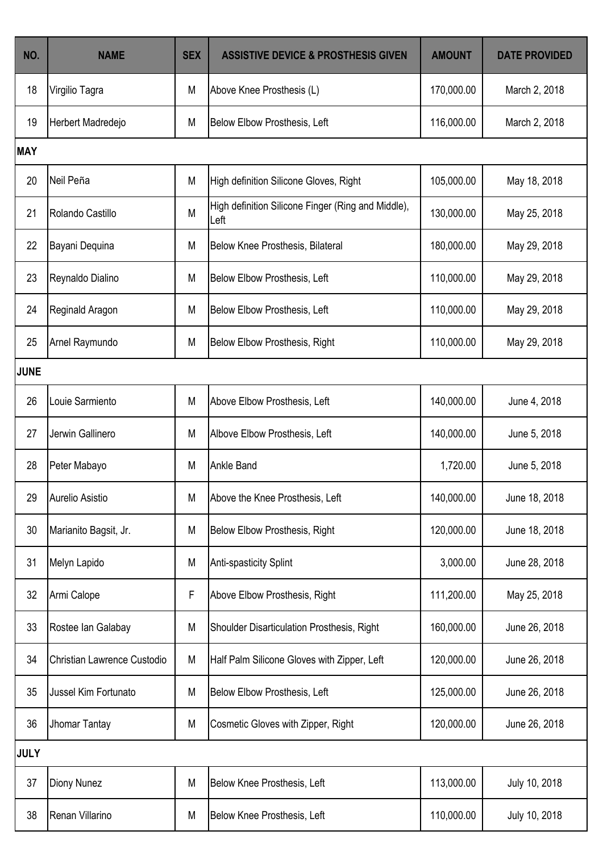| NO.         | <b>NAME</b>                 | <b>SEX</b> | <b>ASSISTIVE DEVICE &amp; PROSTHESIS GIVEN</b>             | <b>AMOUNT</b> | <b>DATE PROVIDED</b> |  |  |
|-------------|-----------------------------|------------|------------------------------------------------------------|---------------|----------------------|--|--|
| 18          | Virgilio Tagra              | M          | Above Knee Prosthesis (L)                                  | 170,000.00    | March 2, 2018        |  |  |
| 19          | Herbert Madredejo           | M          | Below Elbow Prosthesis, Left                               | 116,000.00    | March 2, 2018        |  |  |
| <b>MAY</b>  |                             |            |                                                            |               |                      |  |  |
| 20          | Neil Peña                   | M          | High definition Silicone Gloves, Right                     | 105,000.00    | May 18, 2018         |  |  |
| 21          | Rolando Castillo            | M          | High definition Silicone Finger (Ring and Middle),<br>Left | 130,000.00    | May 25, 2018         |  |  |
| 22          | Bayani Dequina              | M          | <b>Below Knee Prosthesis, Bilateral</b>                    | 180,000.00    | May 29, 2018         |  |  |
| 23          | Reynaldo Dialino            | M          | Below Elbow Prosthesis, Left                               | 110,000.00    | May 29, 2018         |  |  |
| 24          | Reginald Aragon             | M          | Below Elbow Prosthesis, Left                               | 110,000.00    | May 29, 2018         |  |  |
| 25          | Arnel Raymundo              | M          | Below Elbow Prosthesis, Right                              | 110,000.00    | May 29, 2018         |  |  |
| <b>JUNE</b> |                             |            |                                                            |               |                      |  |  |
| 26          | Louie Sarmiento             | M          | Above Elbow Prosthesis, Left                               | 140,000.00    | June 4, 2018         |  |  |
| 27          | Jerwin Gallinero            | M          | Albove Elbow Prosthesis, Left                              | 140,000.00    | June 5, 2018         |  |  |
| 28          | Peter Mabayo                | M          | <b>Ankle Band</b>                                          | 1,720.00      | June 5, 2018         |  |  |
| 29          | Aurelio Asistio             | M          | Above the Knee Prosthesis, Left                            | 140,000.00    | June 18, 2018        |  |  |
| 30          | Marianito Bagsit, Jr.       | M          | <b>Below Elbow Prosthesis, Right</b>                       | 120,000.00    | June 18, 2018        |  |  |
| 31          | Melyn Lapido                | M          | <b>Anti-spasticity Splint</b>                              | 3,000.00      | June 28, 2018        |  |  |
| 32          | Armi Calope                 | F          | Above Elbow Prosthesis, Right                              | 111,200.00    | May 25, 2018         |  |  |
| 33          | Rostee Ian Galabay          | M          | Shoulder Disarticulation Prosthesis, Right                 | 160,000.00    | June 26, 2018        |  |  |
| 34          | Christian Lawrence Custodio | M          | Half Palm Silicone Gloves with Zipper, Left                | 120,000.00    | June 26, 2018        |  |  |
| 35          | Jussel Kim Fortunato        | M          | Below Elbow Prosthesis, Left                               | 125,000.00    | June 26, 2018        |  |  |
| 36          | Jhomar Tantay               | M          | Cosmetic Gloves with Zipper, Right                         | 120,000.00    | June 26, 2018        |  |  |
| <b>JULY</b> |                             |            |                                                            |               |                      |  |  |
| 37          | <b>Diony Nunez</b>          | M          | Below Knee Prosthesis, Left                                | 113,000.00    | July 10, 2018        |  |  |
| 38          | Renan Villarino             | M          | Below Knee Prosthesis, Left                                | 110,000.00    | July 10, 2018        |  |  |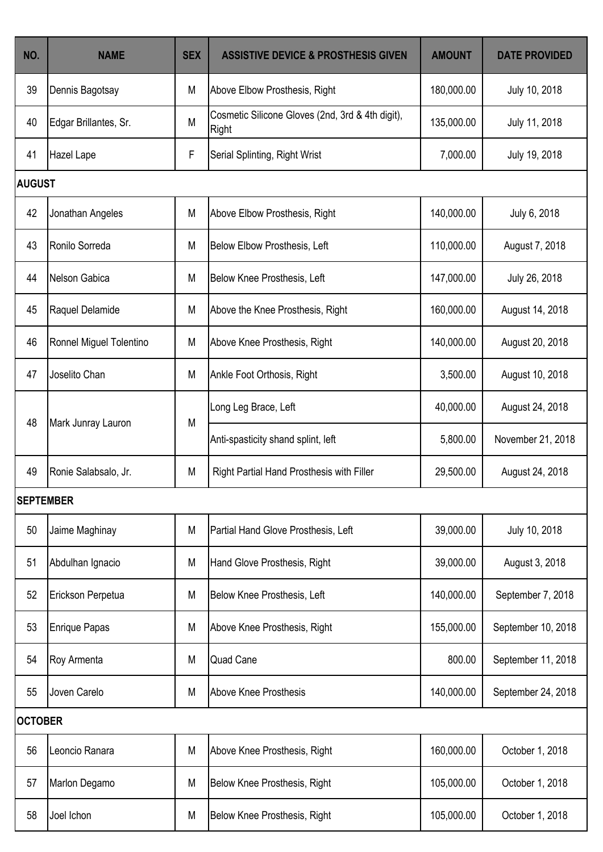| NO.              | <b>NAME</b>             | <b>SEX</b>  | <b>ASSISTIVE DEVICE &amp; PROSTHESIS GIVEN</b>            | <b>AMOUNT</b> | <b>DATE PROVIDED</b> |  |  |
|------------------|-------------------------|-------------|-----------------------------------------------------------|---------------|----------------------|--|--|
| 39               | Dennis Bagotsay         | M           | Above Elbow Prosthesis, Right                             | 180,000.00    | July 10, 2018        |  |  |
| 40               | Edgar Brillantes, Sr.   | M           | Cosmetic Silicone Gloves (2nd, 3rd & 4th digit),<br>Right | 135,000.00    | July 11, 2018        |  |  |
| 41               | Hazel Lape              | $\mathsf F$ | Serial Splinting, Right Wrist                             | 7,000.00      | July 19, 2018        |  |  |
|                  | <b>AUGUST</b>           |             |                                                           |               |                      |  |  |
| 42               | Jonathan Angeles        | M           | Above Elbow Prosthesis, Right                             | 140,000.00    | July 6, 2018         |  |  |
| 43               | Ronilo Sorreda          | M           | Below Elbow Prosthesis, Left                              | 110,000.00    | August 7, 2018       |  |  |
| 44               | Nelson Gabica           | M           | Below Knee Prosthesis, Left                               | 147,000.00    | July 26, 2018        |  |  |
| 45               | Raquel Delamide         | M           | Above the Knee Prosthesis, Right                          | 160,000.00    | August 14, 2018      |  |  |
| 46               | Ronnel Miguel Tolentino | M           | Above Knee Prosthesis, Right                              | 140,000.00    | August 20, 2018      |  |  |
| 47               | Joselito Chan           | M           | Ankle Foot Orthosis, Right                                | 3,500.00      | August 10, 2018      |  |  |
| 48               | Mark Junray Lauron      | M           | Long Leg Brace, Left                                      | 40,000.00     | August 24, 2018      |  |  |
|                  |                         |             | Anti-spasticity shand splint, left                        | 5,800.00      | November 21, 2018    |  |  |
| 49               | Ronie Salabsalo, Jr.    | M           | Right Partial Hand Prosthesis with Filler                 | 29,500.00     | August 24, 2018      |  |  |
| <b>SEPTEMBER</b> |                         |             |                                                           |               |                      |  |  |
| 50               | Jaime Maghinay          | M           | Partial Hand Glove Prosthesis, Left                       | 39,000.00     | July 10, 2018        |  |  |
| 51               | Abdulhan Ignacio        | M           | Hand Glove Prosthesis, Right                              | 39,000.00     | August 3, 2018       |  |  |
| 52               | Erickson Perpetua       | M           | Below Knee Prosthesis, Left                               | 140,000.00    | September 7, 2018    |  |  |
| 53               | <b>Enrique Papas</b>    | M           | Above Knee Prosthesis, Right                              | 155,000.00    | September 10, 2018   |  |  |
| 54               | Roy Armenta             | M           | <b>Quad Cane</b>                                          | 800.00        | September 11, 2018   |  |  |
| 55               | Joven Carelo            | M           | <b>Above Knee Prosthesis</b>                              | 140,000.00    | September 24, 2018   |  |  |
| <b>OCTOBER</b>   |                         |             |                                                           |               |                      |  |  |
| 56               | Leoncio Ranara          | M           | Above Knee Prosthesis, Right                              | 160,000.00    | October 1, 2018      |  |  |
| 57               | Marlon Degamo           | M           | Below Knee Prosthesis, Right                              | 105,000.00    | October 1, 2018      |  |  |
| 58               | Joel Ichon              | M           | Below Knee Prosthesis, Right                              | 105,000.00    | October 1, 2018      |  |  |